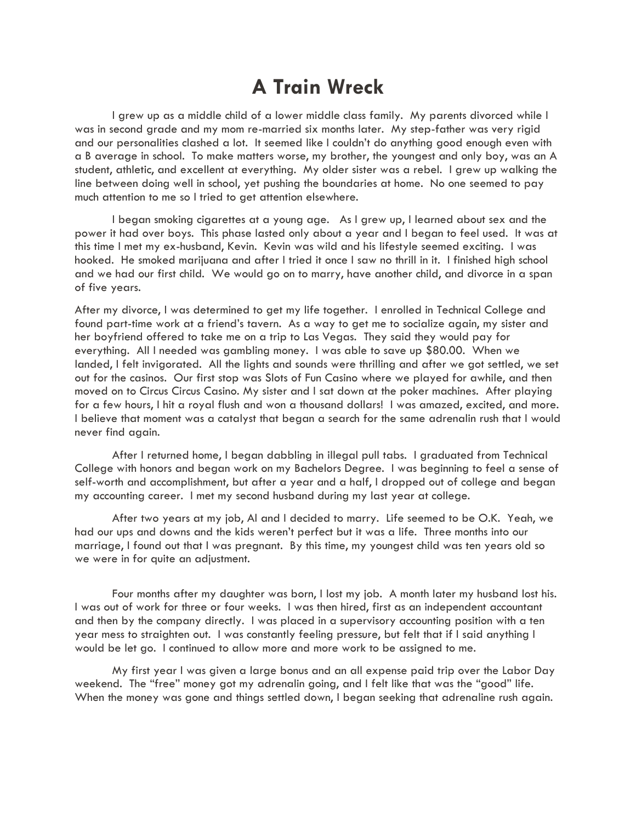## **A Train Wreck**

I grew up as a middle child of a lower middle class family. My parents divorced while I was in second grade and my mom re-married six months later. My step-father was very rigid and our personalities clashed a lot. It seemed like I couldn't do anything good enough even with a B average in school. To make matters worse, my brother, the youngest and only boy, was an A student, athletic, and excellent at everything. My older sister was a rebel. I grew up walking the line between doing well in school, yet pushing the boundaries at home. No one seemed to pay much attention to me so I tried to get attention elsewhere.

I began smoking cigarettes at a young age. As I grew up, I learned about sex and the power it had over boys. This phase lasted only about a year and I began to feel used. It was at this time I met my ex-husband, Kevin. Kevin was wild and his lifestyle seemed exciting. I was hooked. He smoked marijuana and after I tried it once I saw no thrill in it. I finished high school and we had our first child. We would go on to marry, have another child, and divorce in a span of five years.

After my divorce, I was determined to get my life together. I enrolled in Technical College and found part-time work at a friend's tavern. As a way to get me to socialize again, my sister and her boyfriend offered to take me on a trip to Las Vegas. They said they would pay for everything. All I needed was gambling money. I was able to save up \$80.00. When we landed, I felt invigorated. All the lights and sounds were thrilling and after we got settled, we set out for the casinos. Our first stop was Slots of Fun Casino where we played for awhile, and then moved on to Circus Circus Casino. My sister and I sat down at the poker machines. After playing for a few hours, I hit a royal flush and won a thousand dollars! I was amazed, excited, and more. I believe that moment was a catalyst that began a search for the same adrenalin rush that I would never find again.

After I returned home, I began dabbling in illegal pull tabs. I graduated from Technical College with honors and began work on my Bachelors Degree. I was beginning to feel a sense of self-worth and accomplishment, but after a year and a half, I dropped out of college and began my accounting career. I met my second husband during my last year at college.

After two years at my job, Al and I decided to marry. Life seemed to be O.K. Yeah, we had our ups and downs and the kids weren't perfect but it was a life. Three months into our marriage, I found out that I was pregnant. By this time, my youngest child was ten years old so we were in for quite an adjustment.

Four months after my daughter was born, I lost my job. A month later my husband lost his. I was out of work for three or four weeks. I was then hired, first as an independent accountant and then by the company directly. I was placed in a supervisory accounting position with a ten year mess to straighten out. I was constantly feeling pressure, but felt that if I said anything I would be let go. I continued to allow more and more work to be assigned to me.

My first year I was given a large bonus and an all expense paid trip over the Labor Day weekend. The "free" money got my adrenalin going, and I felt like that was the "good" life. When the money was gone and things settled down, I began seeking that adrenaline rush again.